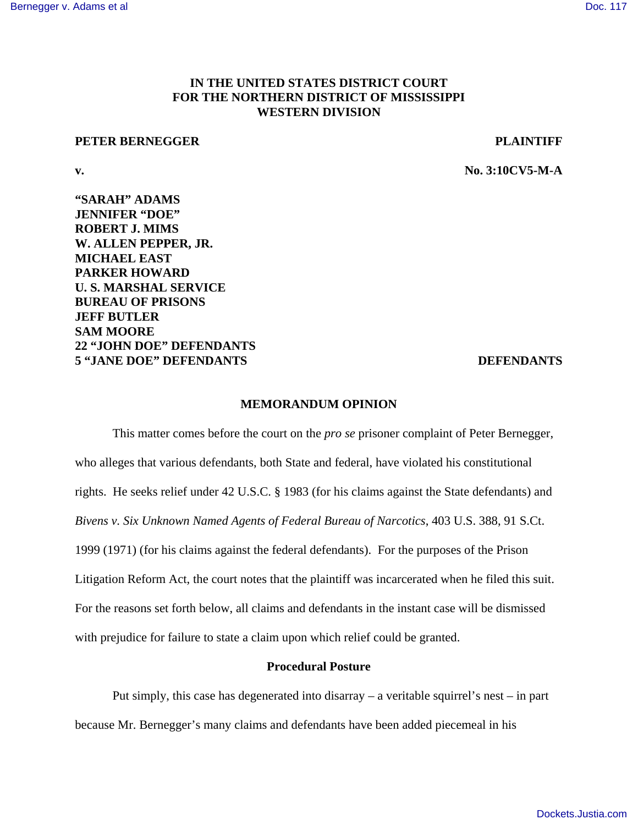# **IN THE UNITED STATES DISTRICT COURT FOR THE NORTHERN DISTRICT OF MISSISSIPPI WESTERN DIVISION**

#### **PETER BERNEGGER PLAINTIFF**

**v. No. 3:10CV5-M-A**

**"SARAH" ADAMS JENNIFER "DOE" ROBERT J. MIMS W. ALLEN PEPPER, JR. MICHAEL EAST PARKER HOWARD U. S. MARSHAL SERVICE BUREAU OF PRISONS JEFF BUTLER SAM MOORE 22 "JOHN DOE" DEFENDANTS 5 "JANE DOE" DEFENDANTS DEFENDANTS**

#### **MEMORANDUM OPINION**

This matter comes before the court on the *pro se* prisoner complaint of Peter Bernegger, who alleges that various defendants, both State and federal, have violated his constitutional rights. He seeks relief under 42 U.S.C. § 1983 (for his claims against the State defendants) and *Bivens v. Six Unknown Named Agents of Federal Bureau of Narcotics*, 403 U.S. 388, 91 S.Ct. 1999 (1971) (for his claims against the federal defendants). For the purposes of the Prison Litigation Reform Act, the court notes that the plaintiff was incarcerated when he filed this suit. For the reasons set forth below, all claims and defendants in the instant case will be dismissed with prejudice for failure to state a claim upon which relief could be granted.

# **Procedural Posture**

Put simply, this case has degenerated into disarray – a veritable squirrel's nest – in part because Mr. Bernegger's many claims and defendants have been added piecemeal in his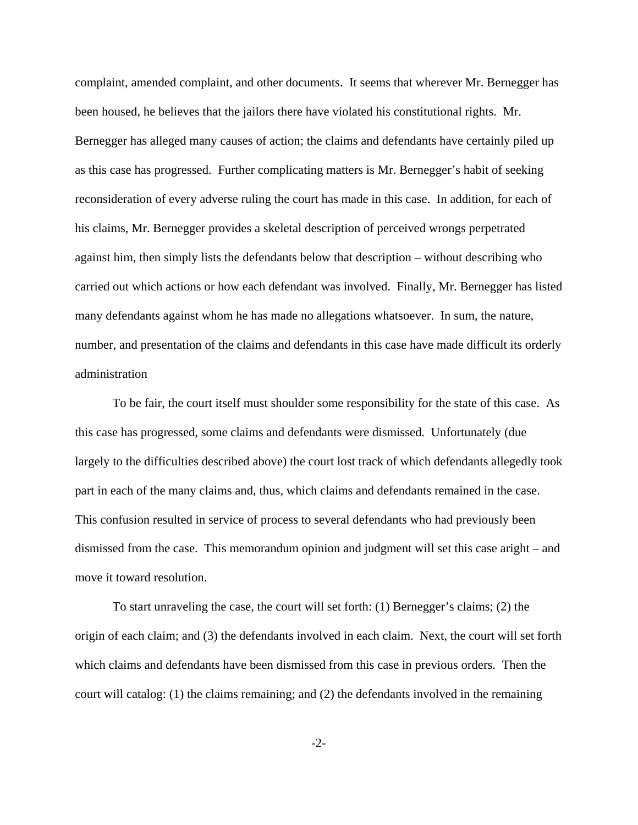complaint, amended complaint, and other documents. It seems that wherever Mr. Bernegger has been housed, he believes that the jailors there have violated his constitutional rights. Mr. Bernegger has alleged many causes of action; the claims and defendants have certainly piled up as this case has progressed. Further complicating matters is Mr. Bernegger's habit of seeking reconsideration of every adverse ruling the court has made in this case. In addition, for each of his claims, Mr. Bernegger provides a skeletal description of perceived wrongs perpetrated against him, then simply lists the defendants below that description – without describing who carried out which actions or how each defendant was involved. Finally, Mr. Bernegger has listed many defendants against whom he has made no allegations whatsoever. In sum, the nature, number, and presentation of the claims and defendants in this case have made difficult its orderly administration

To be fair, the court itself must shoulder some responsibility for the state of this case. As this case has progressed, some claims and defendants were dismissed. Unfortunately (due largely to the difficulties described above) the court lost track of which defendants allegedly took part in each of the many claims and, thus, which claims and defendants remained in the case. This confusion resulted in service of process to several defendants who had previously been dismissed from the case. This memorandum opinion and judgment will set this case aright – and move it toward resolution.

To start unraveling the case, the court will set forth: (1) Bernegger's claims; (2) the origin of each claim; and (3) the defendants involved in each claim. Next, the court will set forth which claims and defendants have been dismissed from this case in previous orders. Then the court will catalog: (1) the claims remaining; and (2) the defendants involved in the remaining

-2-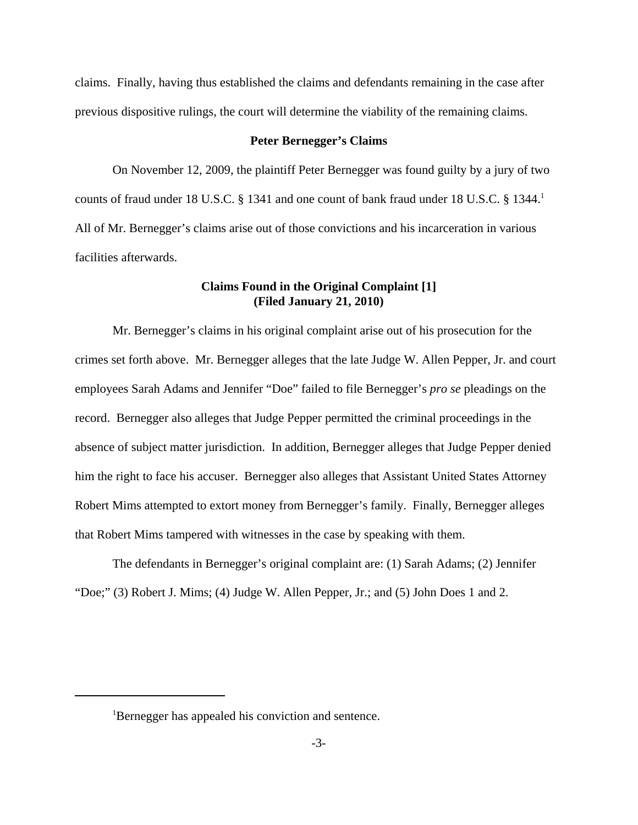claims. Finally, having thus established the claims and defendants remaining in the case after previous dispositive rulings, the court will determine the viability of the remaining claims.

#### **Peter Bernegger's Claims**

On November 12, 2009, the plaintiff Peter Bernegger was found guilty by a jury of two counts of fraud under 18 U.S.C. § 1341 and one count of bank fraud under 18 U.S.C. § 1344.<sup>1</sup> All of Mr. Bernegger's claims arise out of those convictions and his incarceration in various facilities afterwards.

# **Claims Found in the Original Complaint [1] (Filed January 21, 2010)**

Mr. Bernegger's claims in his original complaint arise out of his prosecution for the crimes set forth above. Mr. Bernegger alleges that the late Judge W. Allen Pepper, Jr. and court employees Sarah Adams and Jennifer "Doe" failed to file Bernegger's *pro se* pleadings on the record. Bernegger also alleges that Judge Pepper permitted the criminal proceedings in the absence of subject matter jurisdiction. In addition, Bernegger alleges that Judge Pepper denied him the right to face his accuser. Bernegger also alleges that Assistant United States Attorney Robert Mims attempted to extort money from Bernegger's family. Finally, Bernegger alleges that Robert Mims tampered with witnesses in the case by speaking with them.

The defendants in Bernegger's original complaint are: (1) Sarah Adams; (2) Jennifer "Doe;" (3) Robert J. Mims; (4) Judge W. Allen Pepper, Jr.; and (5) John Does 1 and 2.

<sup>&</sup>lt;sup>1</sup>Bernegger has appealed his conviction and sentence.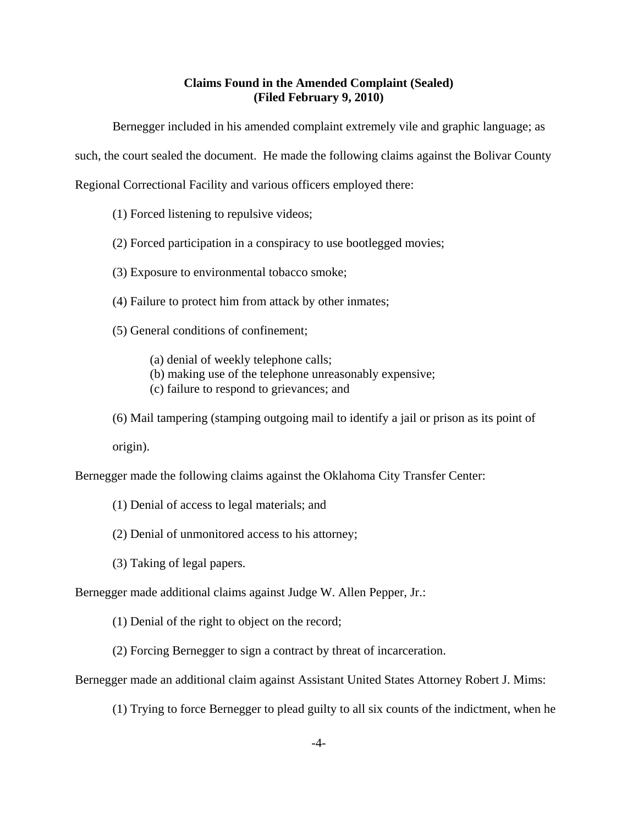# **Claims Found in the Amended Complaint (Sealed) (Filed February 9, 2010)**

Bernegger included in his amended complaint extremely vile and graphic language; as

such, the court sealed the document. He made the following claims against the Bolivar County

Regional Correctional Facility and various officers employed there:

- (1) Forced listening to repulsive videos;
- (2) Forced participation in a conspiracy to use bootlegged movies;
- (3) Exposure to environmental tobacco smoke;
- (4) Failure to protect him from attack by other inmates;
- (5) General conditions of confinement;

(a) denial of weekly telephone calls;

- (b) making use of the telephone unreasonably expensive;
- (c) failure to respond to grievances; and
- (6) Mail tampering (stamping outgoing mail to identify a jail or prison as its point of

origin).

Bernegger made the following claims against the Oklahoma City Transfer Center:

- (1) Denial of access to legal materials; and
- (2) Denial of unmonitored access to his attorney;
- (3) Taking of legal papers.

Bernegger made additional claims against Judge W. Allen Pepper, Jr.:

- (1) Denial of the right to object on the record;
- (2) Forcing Bernegger to sign a contract by threat of incarceration.

Bernegger made an additional claim against Assistant United States Attorney Robert J. Mims:

(1) Trying to force Bernegger to plead guilty to all six counts of the indictment, when he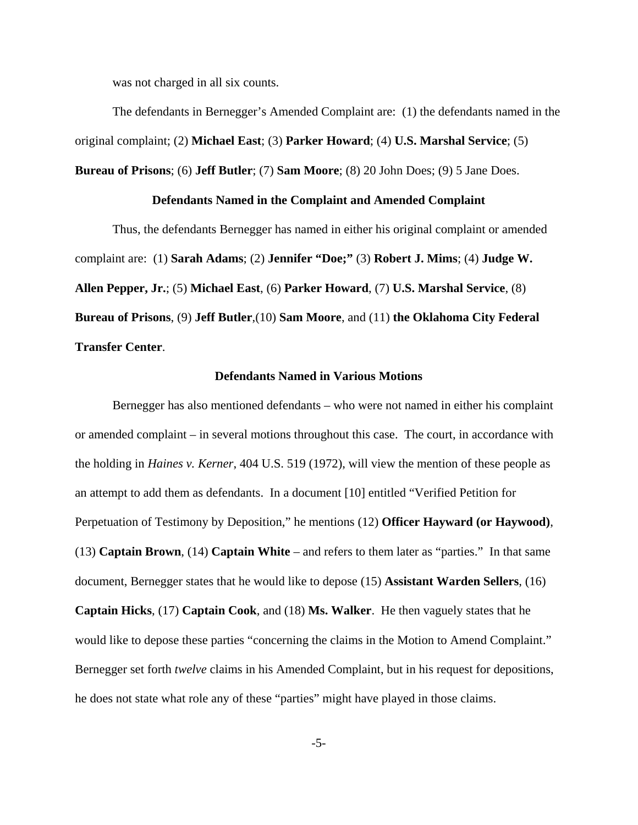was not charged in all six counts.

The defendants in Bernegger's Amended Complaint are: (1) the defendants named in the original complaint; (2) **Michael East**; (3) **Parker Howard**; (4) **U.S. Marshal Service**; (5)

# **Defendants Named in the Complaint and Amended Complaint**

**Bureau of Prisons**; (6) **Jeff Butler**; (7) **Sam Moore**; (8) 20 John Does; (9) 5 Jane Does.

Thus, the defendants Bernegger has named in either his original complaint or amended complaint are: (1) **Sarah Adams**; (2) **Jennifer "Doe;"** (3) **Robert J. Mims**; (4) **Judge W. Allen Pepper, Jr.**; (5) **Michael East**, (6) **Parker Howard**, (7) **U.S. Marshal Service**, (8) **Bureau of Prisons**, (9) **Jeff Butler**,(10) **Sam Moore**, and (11) **the Oklahoma City Federal Transfer Center**.

#### **Defendants Named in Various Motions**

Bernegger has also mentioned defendants – who were not named in either his complaint or amended complaint – in several motions throughout this case. The court, in accordance with the holding in *Haines v. Kerner*, 404 U.S. 519 (1972), will view the mention of these people as an attempt to add them as defendants. In a document [10] entitled "Verified Petition for Perpetuation of Testimony by Deposition," he mentions (12) **Officer Hayward (or Haywood)**, (13) **Captain Brown**, (14) **Captain White** – and refers to them later as "parties." In that same document, Bernegger states that he would like to depose (15) **Assistant Warden Sellers**, (16) **Captain Hicks**, (17) **Captain Cook**, and (18) **Ms. Walker**. He then vaguely states that he would like to depose these parties "concerning the claims in the Motion to Amend Complaint." Bernegger set forth *twelve* claims in his Amended Complaint, but in his request for depositions, he does not state what role any of these "parties" might have played in those claims.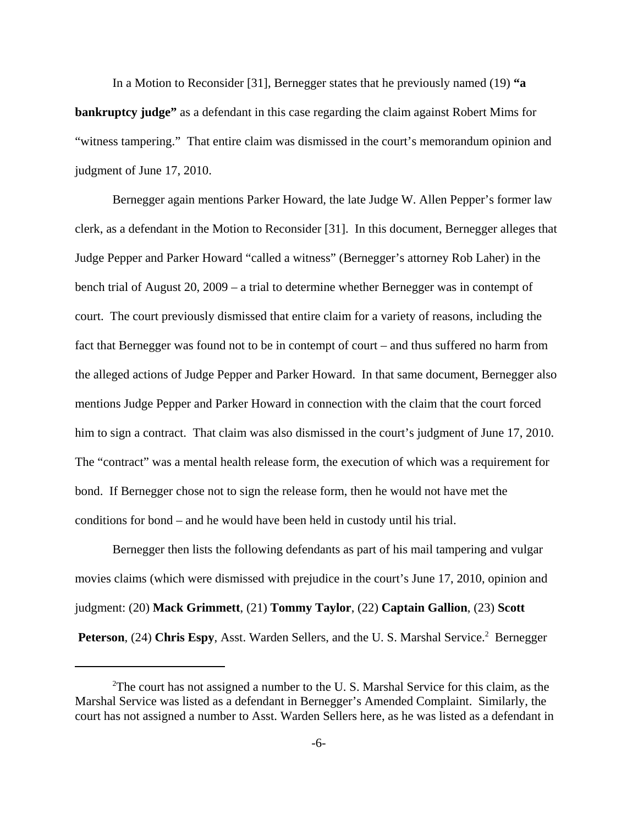In a Motion to Reconsider [31], Bernegger states that he previously named (19) **"a bankruptcy judge"** as a defendant in this case regarding the claim against Robert Mims for "witness tampering." That entire claim was dismissed in the court's memorandum opinion and judgment of June 17, 2010.

Bernegger again mentions Parker Howard, the late Judge W. Allen Pepper's former law clerk, as a defendant in the Motion to Reconsider [31]. In this document, Bernegger alleges that Judge Pepper and Parker Howard "called a witness" (Bernegger's attorney Rob Laher) in the bench trial of August 20, 2009 – a trial to determine whether Bernegger was in contempt of court. The court previously dismissed that entire claim for a variety of reasons, including the fact that Bernegger was found not to be in contempt of court – and thus suffered no harm from the alleged actions of Judge Pepper and Parker Howard. In that same document, Bernegger also mentions Judge Pepper and Parker Howard in connection with the claim that the court forced him to sign a contract. That claim was also dismissed in the court's judgment of June 17, 2010. The "contract" was a mental health release form, the execution of which was a requirement for bond. If Bernegger chose not to sign the release form, then he would not have met the conditions for bond – and he would have been held in custody until his trial.

Bernegger then lists the following defendants as part of his mail tampering and vulgar movies claims (which were dismissed with prejudice in the court's June 17, 2010, opinion and judgment: (20) **Mack Grimmett**, (21) **Tommy Taylor**, (22) **Captain Gallion**, (23) **Scott** Peterson, (24) Chris Espy, Asst. Warden Sellers, and the U.S. Marshal Service.<sup>2</sup> Bernegger

<sup>&</sup>lt;sup>2</sup>The court has not assigned a number to the U.S. Marshal Service for this claim, as the Marshal Service was listed as a defendant in Bernegger's Amended Complaint. Similarly, the court has not assigned a number to Asst. Warden Sellers here, as he was listed as a defendant in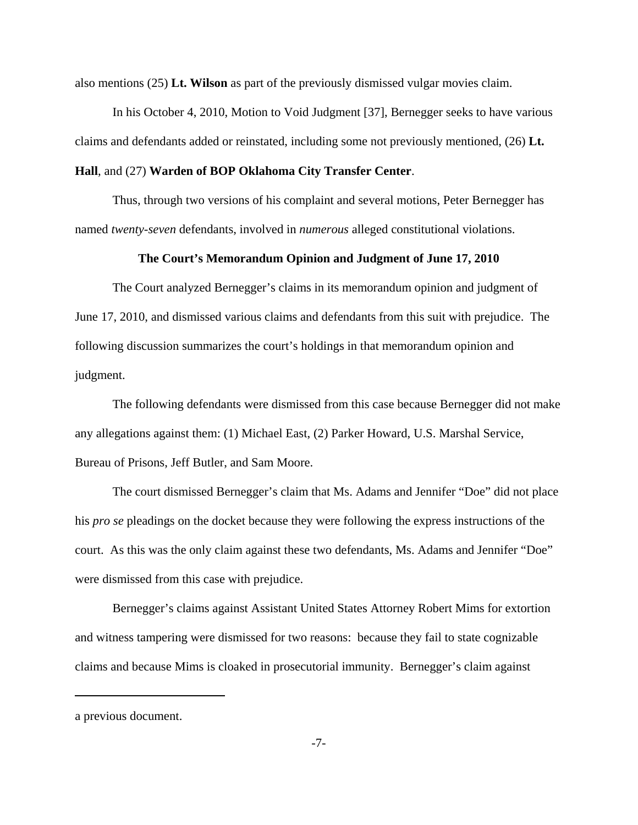also mentions (25) **Lt. Wilson** as part of the previously dismissed vulgar movies claim.

In his October 4, 2010, Motion to Void Judgment [37], Bernegger seeks to have various claims and defendants added or reinstated, including some not previously mentioned, (26) **Lt.**

#### **Hall**, and (27) **Warden of BOP Oklahoma City Transfer Center**.

Thus, through two versions of his complaint and several motions, Peter Bernegger has named *twenty-seven* defendants, involved in *numerous* alleged constitutional violations.

### **The Court's Memorandum Opinion and Judgment of June 17, 2010**

The Court analyzed Bernegger's claims in its memorandum opinion and judgment of June 17, 2010, and dismissed various claims and defendants from this suit with prejudice. The following discussion summarizes the court's holdings in that memorandum opinion and judgment.

The following defendants were dismissed from this case because Bernegger did not make any allegations against them: (1) Michael East, (2) Parker Howard, U.S. Marshal Service, Bureau of Prisons, Jeff Butler, and Sam Moore.

The court dismissed Bernegger's claim that Ms. Adams and Jennifer "Doe" did not place his *pro se* pleadings on the docket because they were following the express instructions of the court. As this was the only claim against these two defendants, Ms. Adams and Jennifer "Doe" were dismissed from this case with prejudice.

Bernegger's claims against Assistant United States Attorney Robert Mims for extortion and witness tampering were dismissed for two reasons: because they fail to state cognizable claims and because Mims is cloaked in prosecutorial immunity. Bernegger's claim against

a previous document.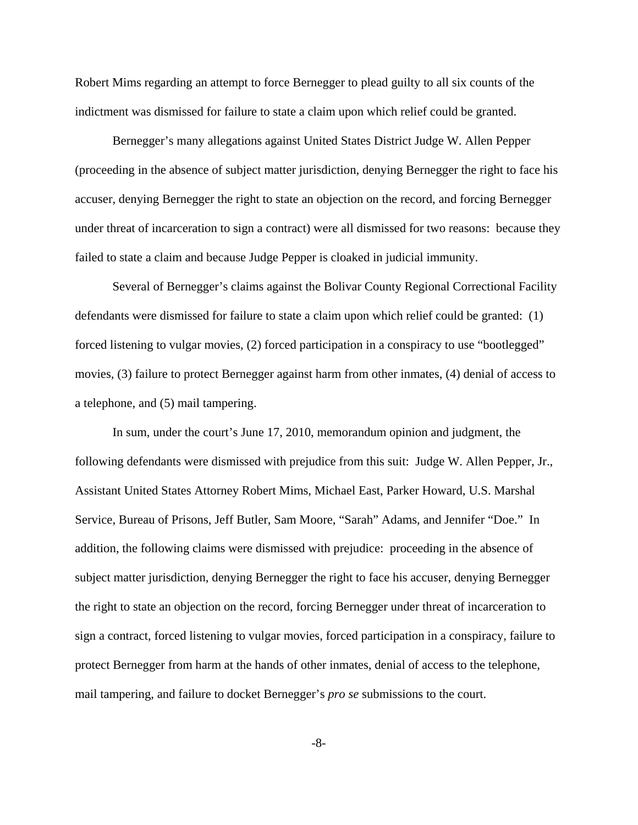Robert Mims regarding an attempt to force Bernegger to plead guilty to all six counts of the indictment was dismissed for failure to state a claim upon which relief could be granted.

Bernegger's many allegations against United States District Judge W. Allen Pepper (proceeding in the absence of subject matter jurisdiction, denying Bernegger the right to face his accuser, denying Bernegger the right to state an objection on the record, and forcing Bernegger under threat of incarceration to sign a contract) were all dismissed for two reasons: because they failed to state a claim and because Judge Pepper is cloaked in judicial immunity.

Several of Bernegger's claims against the Bolivar County Regional Correctional Facility defendants were dismissed for failure to state a claim upon which relief could be granted: (1) forced listening to vulgar movies, (2) forced participation in a conspiracy to use "bootlegged" movies, (3) failure to protect Bernegger against harm from other inmates, (4) denial of access to a telephone, and (5) mail tampering.

In sum, under the court's June 17, 2010, memorandum opinion and judgment, the following defendants were dismissed with prejudice from this suit: Judge W. Allen Pepper, Jr., Assistant United States Attorney Robert Mims, Michael East, Parker Howard, U.S. Marshal Service, Bureau of Prisons, Jeff Butler, Sam Moore, "Sarah" Adams, and Jennifer "Doe." In addition, the following claims were dismissed with prejudice: proceeding in the absence of subject matter jurisdiction, denying Bernegger the right to face his accuser, denying Bernegger the right to state an objection on the record, forcing Bernegger under threat of incarceration to sign a contract, forced listening to vulgar movies, forced participation in a conspiracy, failure to protect Bernegger from harm at the hands of other inmates, denial of access to the telephone, mail tampering, and failure to docket Bernegger's *pro se* submissions to the court.

-8-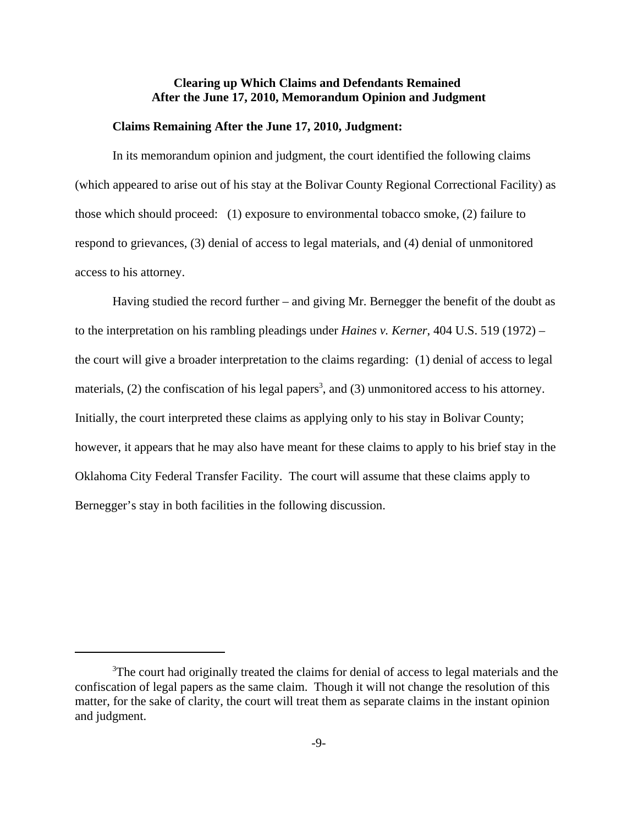# **Clearing up Which Claims and Defendants Remained After the June 17, 2010, Memorandum Opinion and Judgment**

#### **Claims Remaining After the June 17, 2010, Judgment:**

In its memorandum opinion and judgment, the court identified the following claims (which appeared to arise out of his stay at the Bolivar County Regional Correctional Facility) as those which should proceed: (1) exposure to environmental tobacco smoke, (2) failure to respond to grievances, (3) denial of access to legal materials, and (4) denial of unmonitored access to his attorney.

Having studied the record further – and giving Mr. Bernegger the benefit of the doubt as to the interpretation on his rambling pleadings under *Haines v. Kerner*, 404 U.S. 519 (1972) – the court will give a broader interpretation to the claims regarding: (1) denial of access to legal materials,  $(2)$  the confiscation of his legal papers<sup>3</sup>, and  $(3)$  unmonitored access to his attorney. Initially, the court interpreted these claims as applying only to his stay in Bolivar County; however, it appears that he may also have meant for these claims to apply to his brief stay in the Oklahoma City Federal Transfer Facility. The court will assume that these claims apply to Bernegger's stay in both facilities in the following discussion.

<sup>&</sup>lt;sup>3</sup>The court had originally treated the claims for denial of access to legal materials and the confiscation of legal papers as the same claim. Though it will not change the resolution of this matter, for the sake of clarity, the court will treat them as separate claims in the instant opinion and judgment.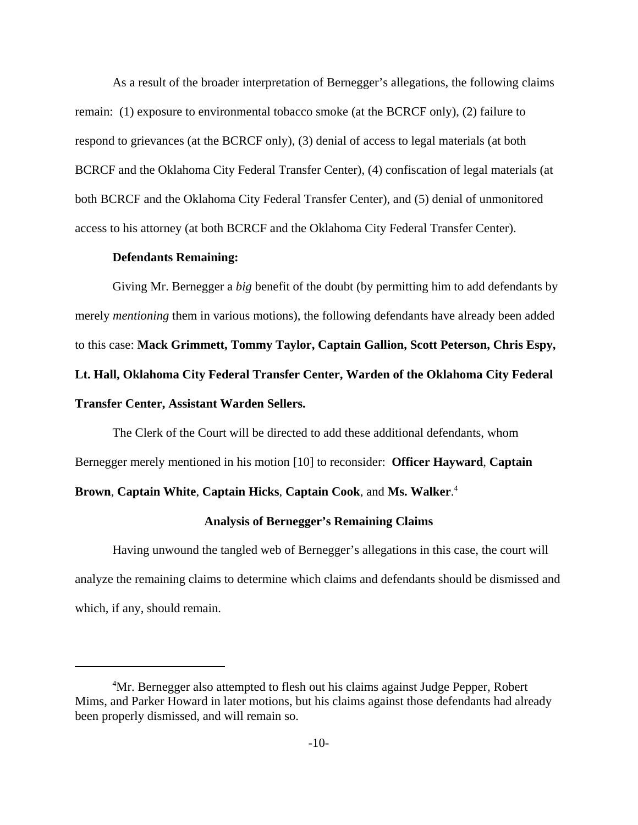As a result of the broader interpretation of Bernegger's allegations, the following claims remain: (1) exposure to environmental tobacco smoke (at the BCRCF only), (2) failure to respond to grievances (at the BCRCF only), (3) denial of access to legal materials (at both BCRCF and the Oklahoma City Federal Transfer Center), (4) confiscation of legal materials (at both BCRCF and the Oklahoma City Federal Transfer Center), and (5) denial of unmonitored access to his attorney (at both BCRCF and the Oklahoma City Federal Transfer Center).

## **Defendants Remaining:**

Giving Mr. Bernegger a *big* benefit of the doubt (by permitting him to add defendants by merely *mentioning* them in various motions), the following defendants have already been added to this case: **Mack Grimmett, Tommy Taylor, Captain Gallion, Scott Peterson, Chris Espy, Lt. Hall, Oklahoma City Federal Transfer Center, Warden of the Oklahoma City Federal Transfer Center, Assistant Warden Sellers.**

The Clerk of the Court will be directed to add these additional defendants, whom Bernegger merely mentioned in his motion [10] to reconsider: **Officer Hayward**, **Captain**

# **Brown**, **Captain White**, **Captain Hicks**, **Captain Cook**, and **Ms. Walker**. 4

#### **Analysis of Bernegger's Remaining Claims**

Having unwound the tangled web of Bernegger's allegations in this case, the court will analyze the remaining claims to determine which claims and defendants should be dismissed and which, if any, should remain.

<sup>4</sup>Mr. Bernegger also attempted to flesh out his claims against Judge Pepper, Robert Mims, and Parker Howard in later motions, but his claims against those defendants had already been properly dismissed, and will remain so.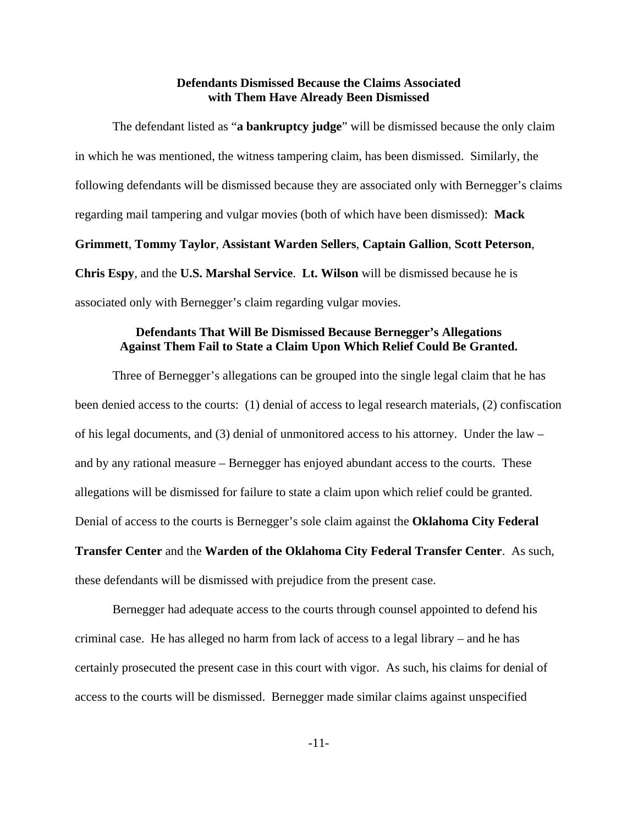# **Defendants Dismissed Because the Claims Associated with Them Have Already Been Dismissed**

The defendant listed as "**a bankruptcy judge**" will be dismissed because the only claim in which he was mentioned, the witness tampering claim, has been dismissed. Similarly, the following defendants will be dismissed because they are associated only with Bernegger's claims regarding mail tampering and vulgar movies (both of which have been dismissed): **Mack Grimmett**, **Tommy Taylor**, **Assistant Warden Sellers**, **Captain Gallion**, **Scott Peterson**, **Chris Espy**, and the **U.S. Marshal Service**. **Lt. Wilson** will be dismissed because he is associated only with Bernegger's claim regarding vulgar movies.

# **Defendants That Will Be Dismissed Because Bernegger's Allegations Against Them Fail to State a Claim Upon Which Relief Could Be Granted.**

Three of Bernegger's allegations can be grouped into the single legal claim that he has been denied access to the courts: (1) denial of access to legal research materials, (2) confiscation of his legal documents, and (3) denial of unmonitored access to his attorney. Under the law – and by any rational measure – Bernegger has enjoyed abundant access to the courts. These allegations will be dismissed for failure to state a claim upon which relief could be granted. Denial of access to the courts is Bernegger's sole claim against the **Oklahoma City Federal Transfer Center** and the **Warden of the Oklahoma City Federal Transfer Center**. As such, these defendants will be dismissed with prejudice from the present case.

Bernegger had adequate access to the courts through counsel appointed to defend his criminal case. He has alleged no harm from lack of access to a legal library – and he has certainly prosecuted the present case in this court with vigor. As such, his claims for denial of access to the courts will be dismissed. Bernegger made similar claims against unspecified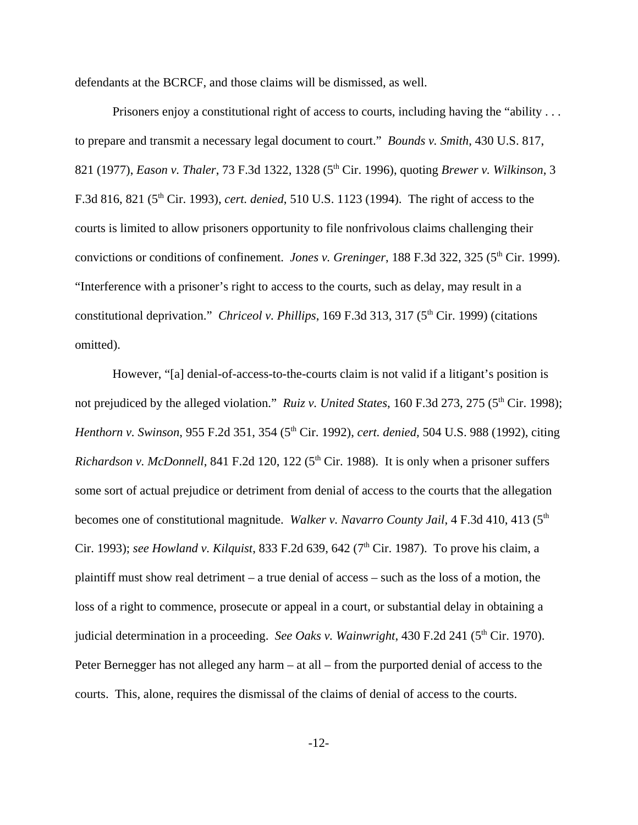defendants at the BCRCF, and those claims will be dismissed, as well.

Prisoners enjoy a constitutional right of access to courts, including having the "ability ... to prepare and transmit a necessary legal document to court." *Bounds v. Smith*, 430 U.S. 817, 821 (1977), *Eason v. Thaler*, 73 F.3d 1322, 1328 (5th Cir. 1996), quoting *Brewer v. Wilkinson*, 3 F.3d 816, 821 (5th Cir. 1993), *cert. denied*, 510 U.S. 1123 (1994). The right of access to the courts is limited to allow prisoners opportunity to file nonfrivolous claims challenging their convictions or conditions of confinement. *Jones v. Greninger*, 188 F.3d 322, 325 (5<sup>th</sup> Cir. 1999). "Interference with a prisoner's right to access to the courts, such as delay, may result in a constitutional deprivation." *Chriceol v. Phillips*, 169 F.3d 313, 317 (5<sup>th</sup> Cir. 1999) (citations omitted).

However, "[a] denial-of-access-to-the-courts claim is not valid if a litigant's position is not prejudiced by the alleged violation." *Ruiz v. United States*, 160 F.3d 273, 275 (5<sup>th</sup> Cir. 1998); *Henthorn v. Swinson, 955 F.2d 351, 354 (5<sup>th</sup> Cir. 1992), <i>cert. denied, 504 U.S. 988 (1992), citing Richardson v. McDonnell*, 841 F.2d 120, 122 (5<sup>th</sup> Cir. 1988). It is only when a prisoner suffers some sort of actual prejudice or detriment from denial of access to the courts that the allegation becomes one of constitutional magnitude. *Walker v. Navarro County Jail*, 4 F.3d 410, 413 (5<sup>th</sup> Cir. 1993); *see Howland v. Kilquist*, 833 F.2d 639, 642 (7<sup>th</sup> Cir. 1987). To prove his claim, a plaintiff must show real detriment – a true denial of access – such as the loss of a motion, the loss of a right to commence, prosecute or appeal in a court, or substantial delay in obtaining a judicial determination in a proceeding. *See Oaks v. Wainwright*, 430 F.2d 241 (5<sup>th</sup> Cir. 1970). Peter Bernegger has not alleged any harm – at all – from the purported denial of access to the courts. This, alone, requires the dismissal of the claims of denial of access to the courts.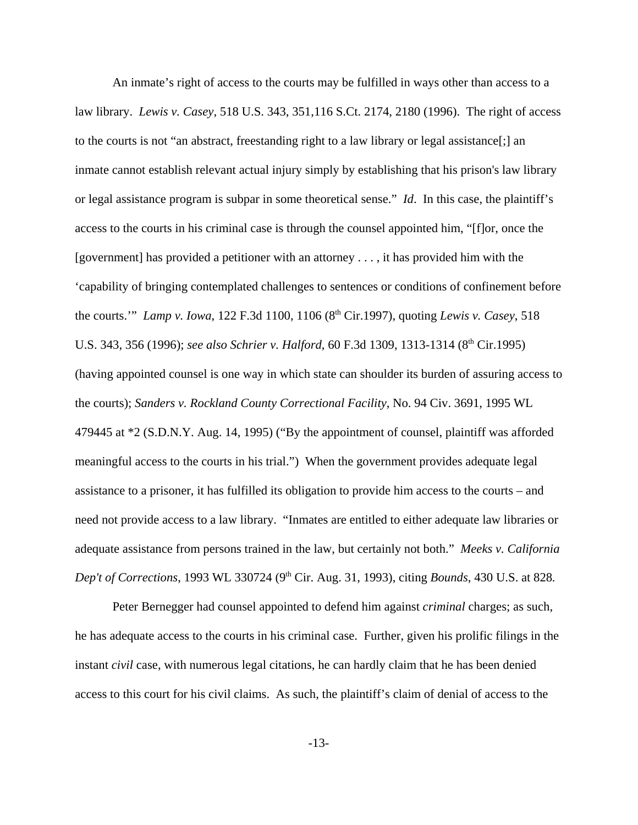An inmate's right of access to the courts may be fulfilled in ways other than access to a law library. *Lewis v. Casey*, 518 U.S. 343, 351,116 S.Ct. 2174, 2180 (1996). The right of access to the courts is not "an abstract, freestanding right to a law library or legal assistance[;] an inmate cannot establish relevant actual injury simply by establishing that his prison's law library or legal assistance program is subpar in some theoretical sense." *Id*. In this case, the plaintiff's access to the courts in his criminal case is through the counsel appointed him, "[f]or, once the [government] has provided a petitioner with an attorney . . . , it has provided him with the 'capability of bringing contemplated challenges to sentences or conditions of confinement before the courts." *Lamp v. Iowa,* 122 F.3d 1100, 1106 (8<sup>th</sup> Cir.1997), quoting *Lewis v. Casey*, 518 U.S. 343, 356 (1996); *see also Schrier v. Halford*, 60 F.3d 1309, 1313-1314 (8<sup>th</sup> Cir.1995) (having appointed counsel is one way in which state can shoulder its burden of assuring access to the courts); *Sanders v. Rockland County Correctional Facility*, No. 94 Civ. 3691, 1995 WL 479445 at \*2 (S.D.N.Y. Aug. 14, 1995) ("By the appointment of counsel, plaintiff was afforded meaningful access to the courts in his trial.") When the government provides adequate legal assistance to a prisoner, it has fulfilled its obligation to provide him access to the courts – and need not provide access to a law library. "Inmates are entitled to either adequate law libraries or adequate assistance from persons trained in the law, but certainly not both." *Meeks v. California Dep't of Corrections*, 1993 WL 330724 (9<sup>th</sup> Cir. Aug. 31, 1993), citing *Bounds*, 430 U.S. at 828.

Peter Bernegger had counsel appointed to defend him against *criminal* charges; as such, he has adequate access to the courts in his criminal case. Further, given his prolific filings in the instant *civil* case, with numerous legal citations, he can hardly claim that he has been denied access to this court for his civil claims. As such, the plaintiff's claim of denial of access to the

-13-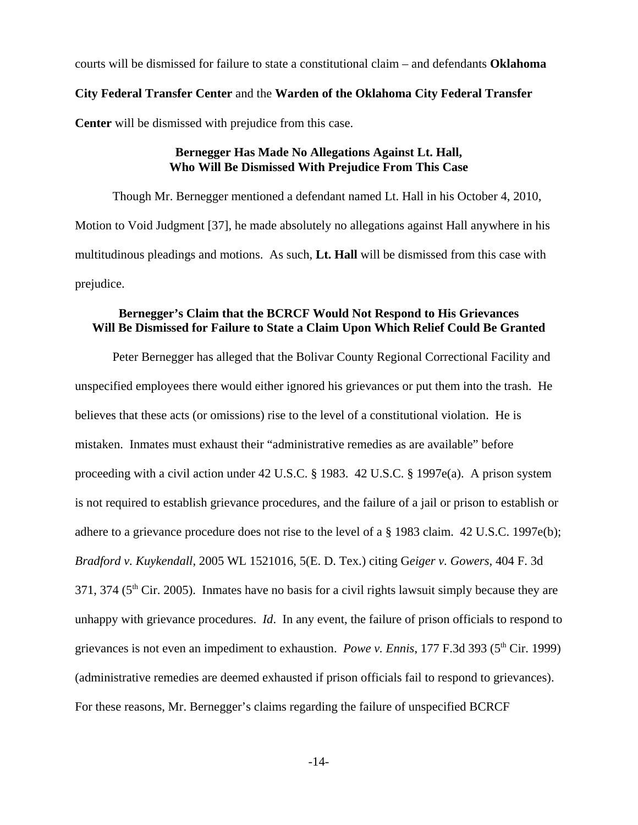courts will be dismissed for failure to state a constitutional claim – and defendants **Oklahoma**

### **City Federal Transfer Center** and the **Warden of the Oklahoma City Federal Transfer**

**Center** will be dismissed with prejudice from this case.

# **Bernegger Has Made No Allegations Against Lt. Hall, Who Will Be Dismissed With Prejudice From This Case**

Though Mr. Bernegger mentioned a defendant named Lt. Hall in his October 4, 2010, Motion to Void Judgment [37], he made absolutely no allegations against Hall anywhere in his multitudinous pleadings and motions. As such, **Lt. Hall** will be dismissed from this case with prejudice.

# **Bernegger's Claim that the BCRCF Would Not Respond to His Grievances Will Be Dismissed for Failure to State a Claim Upon Which Relief Could Be Granted**

Peter Bernegger has alleged that the Bolivar County Regional Correctional Facility and unspecified employees there would either ignored his grievances or put them into the trash. He believes that these acts (or omissions) rise to the level of a constitutional violation. He is mistaken. Inmates must exhaust their "administrative remedies as are available" before proceeding with a civil action under 42 U.S.C. § 1983. 42 U.S.C. § 1997e(a). A prison system is not required to establish grievance procedures, and the failure of a jail or prison to establish or adhere to a grievance procedure does not rise to the level of a § 1983 claim. 42 U.S.C. 1997e(b); *Bradford v. Kuykendall*, 2005 WL 1521016, 5(E. D. Tex.) citing G*eiger v. Gowers,* 404 F. 3d  $371, 374$  ( $5<sup>th</sup>$  Cir. 2005). Inmates have no basis for a civil rights lawsuit simply because they are unhappy with grievance procedures. *Id*. In any event, the failure of prison officials to respond to grievances is not even an impediment to exhaustion. *Powe v. Ennis*, 177 F.3d 393 (5<sup>th</sup> Cir. 1999) (administrative remedies are deemed exhausted if prison officials fail to respond to grievances). For these reasons, Mr. Bernegger's claims regarding the failure of unspecified BCRCF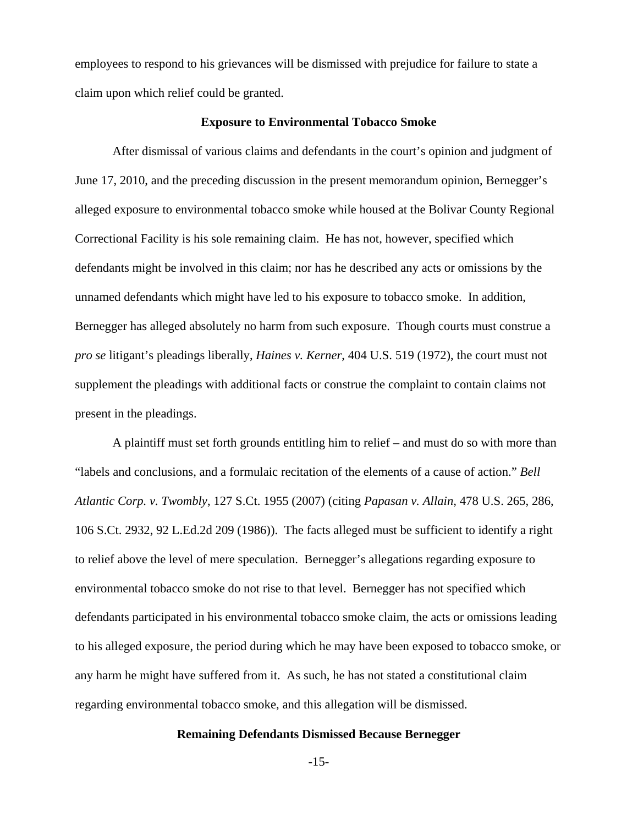employees to respond to his grievances will be dismissed with prejudice for failure to state a claim upon which relief could be granted.

#### **Exposure to Environmental Tobacco Smoke**

After dismissal of various claims and defendants in the court's opinion and judgment of June 17, 2010, and the preceding discussion in the present memorandum opinion, Bernegger's alleged exposure to environmental tobacco smoke while housed at the Bolivar County Regional Correctional Facility is his sole remaining claim. He has not, however, specified which defendants might be involved in this claim; nor has he described any acts or omissions by the unnamed defendants which might have led to his exposure to tobacco smoke. In addition, Bernegger has alleged absolutely no harm from such exposure. Though courts must construe a *pro se* litigant's pleadings liberally, *Haines v. Kerner*, 404 U.S. 519 (1972), the court must not supplement the pleadings with additional facts or construe the complaint to contain claims not present in the pleadings.

A plaintiff must set forth grounds entitling him to relief – and must do so with more than "labels and conclusions, and a formulaic recitation of the elements of a cause of action." *Bell Atlantic Corp. v. Twombly*, 127 S.Ct. 1955 (2007) (citing *Papasan v. Allain,* 478 U.S. 265, 286, 106 S.Ct. 2932, 92 L.Ed.2d 209 (1986)). The facts alleged must be sufficient to identify a right to relief above the level of mere speculation. Bernegger's allegations regarding exposure to environmental tobacco smoke do not rise to that level. Bernegger has not specified which defendants participated in his environmental tobacco smoke claim, the acts or omissions leading to his alleged exposure, the period during which he may have been exposed to tobacco smoke, or any harm he might have suffered from it. As such, he has not stated a constitutional claim regarding environmental tobacco smoke, and this allegation will be dismissed.

# **Remaining Defendants Dismissed Because Bernegger**

-15-